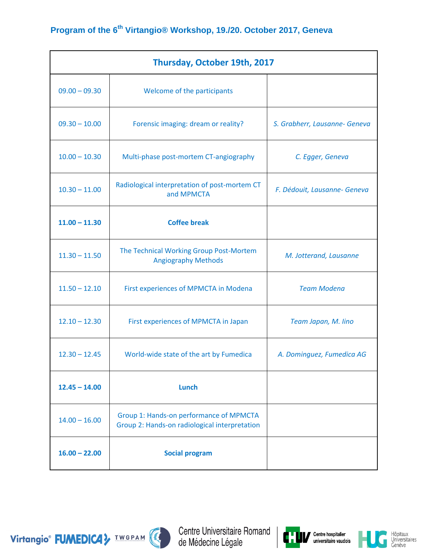| Thursday, October 19th, 2017 |                                                                                          |                               |  |
|------------------------------|------------------------------------------------------------------------------------------|-------------------------------|--|
| $09.00 - 09.30$              | Welcome of the participants                                                              |                               |  |
| $09.30 - 10.00$              | Forensic imaging: dream or reality?                                                      | S. Grabherr, Lausanne- Geneva |  |
| $10.00 - 10.30$              | Multi-phase post-mortem CT-angiography                                                   | C. Egger, Geneva              |  |
| $10.30 - 11.00$              | Radiological interpretation of post-mortem CT<br>and MPMCTA                              | F. Dédouit, Lausanne- Geneva  |  |
| $11.00 - 11.30$              | <b>Coffee break</b>                                                                      |                               |  |
| $11.30 - 11.50$              | The Technical Working Group Post-Mortem<br><b>Angiography Methods</b>                    | M. Jotterand, Lausanne        |  |
| $11.50 - 12.10$              | First experiences of MPMCTA in Modena                                                    | <b>Team Modena</b>            |  |
| $12.10 - 12.30$              | First experiences of MPMCTA in Japan                                                     | Team Japan, M. lino           |  |
| $12.30 - 12.45$              | World-wide state of the art by Fumedica                                                  | A. Dominguez, Fumedica AG     |  |
| $12.45 - 14.00$              | <b>Lunch</b>                                                                             |                               |  |
| $14.00 - 16.00$              | Group 1: Hands-on performance of MPMCTA<br>Group 2: Hands-on radiological interpretation |                               |  |
| $16.00 - 22.00$              | <b>Social program</b>                                                                    |                               |  |